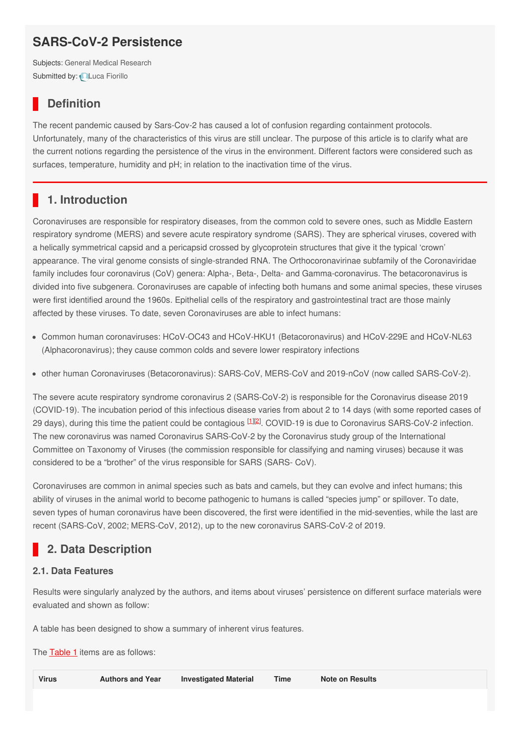# **SARS-CoV-2 Persistence**

Subjects: General Medical [Research](https://encyclopedia.pub/item/subject/70) Submitted by: Luca [Fiorillo](https://sciprofiles.com/profile/560415)

## **Definition**

The recent pandemic caused by Sars-Cov-2 has caused a lot of confusion regarding containment protocols. Unfortunately, many of the characteristics of this virus are still unclear. The purpose of this article is to clarify what are the current notions regarding the persistence of the virus in the environment. Different factors were considered such as surfaces, temperature, humidity and pH; in relation to the inactivation time of the virus.

### **1. Introduction**

Coronaviruses are responsible for respiratory diseases, from the common cold to severe ones, such as Middle Eastern respiratory syndrome (MERS) and severe acute respiratory syndrome (SARS). They are spherical viruses, covered with a helically symmetrical capsid and a pericapsid crossed by glycoprotein structures that give it the typical 'crown' appearance. The viral genome consists of single-stranded RNA. The Orthocoronavirinae subfamily of the Coronaviridae family includes four coronavirus (CoV) genera: Alpha-, Beta-, Delta- and Gamma-coronavirus. The betacoronavirus is divided into five subgenera. Coronaviruses are capable of infecting both humans and some animal species, these viruses were first identified around the 1960s. Epithelial cells of the respiratory and gastrointestinal tract are those mainly affected by these viruses. To date, seven Coronaviruses are able to infect humans:

- Common human coronaviruses: HCoV-OC43 and HCoV-HKU1 (Betacoronavirus) and HCoV-229E and HCoV-NL63 (Alphacoronavirus); they cause common colds and severe lower respiratory infections
- other human Coronaviruses (Betacoronavirus): SARS-CoV, MERS-CoV and 2019-nCoV (now called SARS-CoV-2).

The severe acute respiratory syndrome coronavirus 2 (SARS-CoV-2) is responsible for the Coronavirus disease 2019 (COVID-19). The incubation period of this infectious disease varies from about 2 to 14 days (with some reported cases of 29 days), during this time the patient could be contagious  $[1][2]$  $[1][2]$  $[1][2]$  $[1][2]$ . COVID-19 is due to Coronavirus SARS-CoV-2 infection. The new coronavirus was named Coronavirus SARS-CoV-2 by the Coronavirus study group of the International Committee on Taxonomy of Viruses (the commission responsible for classifying and naming viruses) because it was considered to be a "brother" of the virus responsible for SARS (SARS- CoV).

Coronaviruses are common in animal species such as bats and camels, but they can evolve and infect humans; this ability of viruses in the animal world to become pathogenic to humans is called "species jump" or spillover. To date, seven types of human coronavirus have been discovered, the first were identified in the mid-seventies, while the last are recent (SARS-CoV, 2002; MERS-CoV, 2012), up to the new coronavirus SARS-CoV-2 of 2019.

## **2. Data Description**

### **2.1. Data Features**

Results were singularly analyzed by the authors, and items about viruses' persistence on different surface materials were evaluated and shown as follow:

A table has been designed to show a summary of inherent virus features.

The **[Table](https://www.mdpi.com/2306-5729/5/3/81/htm#table_body_display_data-05-00081-t002) 1** items are as follows:

| Virus<br><b>Investigated Material</b><br><b>Authors and Year</b><br>Time<br>Note on Results |  |  |  |  |  |  |
|---------------------------------------------------------------------------------------------|--|--|--|--|--|--|
|---------------------------------------------------------------------------------------------|--|--|--|--|--|--|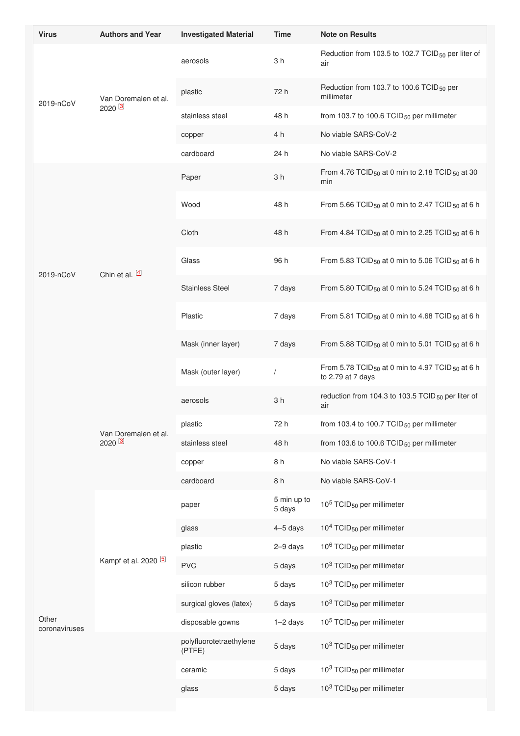| <b>Virus</b>           | <b>Authors and Year</b>          | <b>Investigated Material</b>      | <b>Time</b>           | <b>Note on Results</b>                                                                       |
|------------------------|----------------------------------|-----------------------------------|-----------------------|----------------------------------------------------------------------------------------------|
| 2019-nCoV              | Van Doremalen et al.<br>2020 [3] | aerosols                          | 3 <sub>h</sub>        | Reduction from 103.5 to 102.7 TCID <sub>50</sub> per liter of<br>air                         |
|                        |                                  | plastic                           | 72 h                  | Reduction from 103.7 to 100.6 TCID <sub>50</sub> per<br>millimeter                           |
|                        |                                  | stainless steel                   | 48 h                  | from 103.7 to 100.6 TCID <sub>50</sub> per millimeter                                        |
|                        |                                  | copper                            | 4 h                   | No viable SARS-CoV-2                                                                         |
|                        |                                  | cardboard                         | 24 h                  | No viable SARS-CoV-2                                                                         |
|                        | Chin et al. [4]                  | Paper                             | 3 <sub>h</sub>        | From 4.76 TCID <sub>50</sub> at 0 min to 2.18 TCID <sub>50</sub> at 30<br>min                |
|                        |                                  | Wood                              | 48 h                  | From 5.66 TCID <sub>50</sub> at 0 min to 2.47 TCID <sub>50</sub> at 6 h                      |
|                        |                                  | Cloth                             | 48 h                  | From 4.84 TCID <sub>50</sub> at 0 min to 2.25 TCID <sub>50</sub> at 6 h                      |
| 2019-nCoV              |                                  | Glass                             | 96 h                  | From 5.83 TCID <sub>50</sub> at 0 min to 5.06 TCID <sub>50</sub> at 6 h                      |
|                        |                                  | <b>Stainless Steel</b>            | 7 days                | From 5.80 TCID <sub>50</sub> at 0 min to 5.24 TCID <sub>50</sub> at 6 h                      |
|                        |                                  | Plastic                           | 7 days                | From 5.81 TCID <sub>50</sub> at 0 min to 4.68 TCID <sub>50</sub> at 6 h                      |
|                        |                                  | Mask (inner layer)                | 7 days                | From 5.88 TCID <sub>50</sub> at 0 min to 5.01 TCID <sub>50</sub> at 6 h                      |
|                        |                                  | Mask (outer layer)                |                       | From 5.78 TCID <sub>50</sub> at 0 min to 4.97 TCID <sub>50</sub> at 6 h<br>to 2.79 at 7 days |
|                        |                                  | aerosols                          | 3 <sub>h</sub>        | reduction from 104.3 to 103.5 TCID <sub>50</sub> per liter of<br>air                         |
|                        | Van Doremalen et al.             | plastic                           | 72 h                  | from 103.4 to 100.7 TCID $_{50}$ per millimeter                                              |
|                        | 2020 <sup>[3]</sup>              | stainless steel                   | 48 h                  | from 103.6 to 100.6 $TCID_{50}$ per millimeter                                               |
|                        |                                  | copper                            | 8h                    | No viable SARS-CoV-1                                                                         |
|                        |                                  | cardboard                         | 8 h                   | No viable SARS-CoV-1                                                                         |
|                        | Kampf et al. 2020 [5]            | paper                             | 5 min up to<br>5 days | 10 <sup>5</sup> TCID <sub>50</sub> per millimeter                                            |
|                        |                                  | glass                             | 4-5 days              | $104$ TCID <sub>50</sub> per millimeter                                                      |
|                        |                                  | plastic                           | 2-9 days              | 10 <sup>6</sup> TCID <sub>50</sub> per millimeter                                            |
|                        |                                  | <b>PVC</b>                        | 5 days                | $103$ TCID <sub>50</sub> per millimeter                                                      |
|                        |                                  | silicon rubber                    | 5 days                | 10 <sup>3</sup> TCID <sub>50</sub> per millimeter                                            |
|                        |                                  | surgical gloves (latex)           | 5 days                | $103$ TCID <sub>50</sub> per millimeter                                                      |
| Other<br>coronaviruses |                                  | disposable gowns                  | $1-2$ days            | $105$ TCID <sub>50</sub> per millimeter                                                      |
|                        |                                  | polyfluorotetraethylene<br>(PTFE) | 5 days                | $103$ TCID <sub>50</sub> per millimeter                                                      |
|                        |                                  | ceramic                           | 5 days                | $103$ TCID <sub>50</sub> per millimeter                                                      |
|                        |                                  | glass                             | 5 days                | $103$ TCID <sub>50</sub> per millimeter                                                      |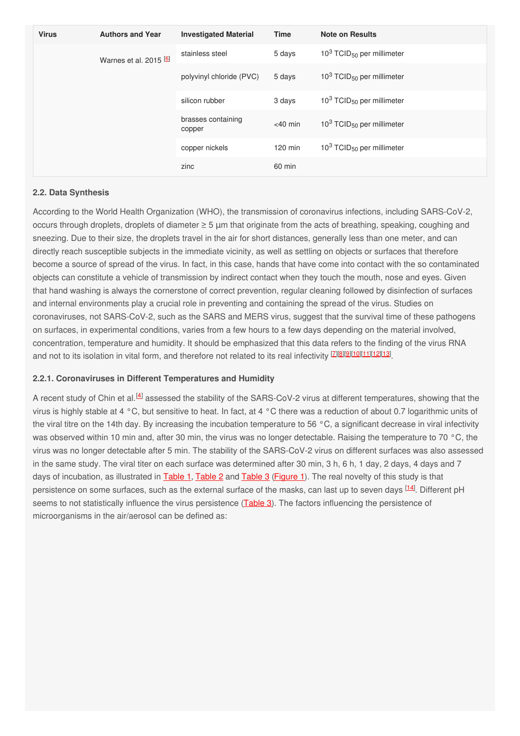| <b>Virus</b>           | <b>Authors and Year</b> | <b>Investigated Material</b> | <b>Time</b>                             | <b>Note on Results</b>                  |
|------------------------|-------------------------|------------------------------|-----------------------------------------|-----------------------------------------|
| Warnes et al. 2015 $6$ |                         | stainless steel              | 5 days                                  | $103$ TCID <sub>50</sub> per millimeter |
|                        |                         | polyvinyl chloride (PVC)     | 5 days                                  | $103$ TCID <sub>50</sub> per millimeter |
|                        | silicon rubber          | 3 days                       | $103$ TCID <sub>50</sub> per millimeter |                                         |
|                        |                         | brasses containing<br>copper | $<$ 40 min                              | $103$ TCID <sub>50</sub> per millimeter |
|                        |                         | copper nickels               | $120$ min                               | $103$ TCID <sub>50</sub> per millimeter |
|                        |                         | zinc                         | 60 min                                  |                                         |

### **2.2. Data Synthesis**

According to the World Health Organization (WHO), the transmission of coronavirus infections, including SARS-CoV-2, occurs through droplets, droplets of diameter ≥ 5 μm that originate from the acts of breathing, speaking, coughing and sneezing. Due to their size, the droplets travel in the air for short distances, generally less than one meter, and can directly reach susceptible subjects in the immediate vicinity, as well as settling on objects or surfaces that therefore become a source of spread of the virus. In fact, in this case, hands that have come into contact with the so contaminated objects can constitute a vehicle of transmission by indirect contact when they touch the mouth, nose and eyes. Given that hand washing is always the cornerstone of correct prevention, regular cleaning followed by disinfection of surfaces and internal environments play a crucial role in preventing and containing the spread of the virus. Studies on coronaviruses, not SARS-CoV-2, such as the SARS and MERS virus, suggest that the survival time of these pathogens on surfaces, in experimental conditions, varies from a few hours to a few days depending on the material involved, concentration, temperature and humidity. It should be emphasized that this data refers to the finding of the virus RNA and not to its isolation in vital form, and therefore not related to its real infectivity [\[7](#page-4-6)][\[8](#page-4-7)][\[9](#page-4-8)][[10](#page-4-9)][\[11](#page-4-10)][\[12](#page-4-11)][\[13](#page-4-12)]

#### **2.2.1. Coronaviruses in Different Temperatures and Humidity**

A recent study of Chin et al.<sup>[[4](#page-4-3)]</sup> assessed the stability of the SARS-CoV-2 virus at different temperatures, showing that the virus is highly stable at 4 °C, but sensitive to heat. In fact, at 4 °C there was a reduction of about 0.7 logarithmic units of the viral titre on the 14th day. By increasing the incubation temperature to 56 °C, a significant decrease in viral infectivity was observed within 10 min and, after 30 min, the virus was no longer detectable. Raising the temperature to 70 °C, the virus was no longer detectable after 5 min. The stability of the SARS-CoV-2 virus on different surfaces was also assessed in the same study. The viral titer on each surface was determined after 30 min, 3 h, 6 h, 1 day, 2 days, 4 days and 7 days of incubation, as illustrated in **[Table](https://www.mdpi.com/2306-5729/5/3/81/htm#table_body_display_data-05-00081-t004) 1**, Table 2 and Table 3 [\(Figure](https://www.mdpi.com/2306-5729/5/3/81/htm#fig_body_display_data-05-00081-f001) 1). The real novelty of this study is that persistence on some surfaces, such as the external surface of the masks, can last up to seven days <sup>[\[14](#page-4-13)]</sup>. Different pH seems to not statistically influence the virus persistence [\(Table](https://www.mdpi.com/2306-5729/5/3/81/htm#table_body_display_data-05-00081-t004) 3). The factors influencing the persistence of microorganisms in the air/aerosol can be defined as: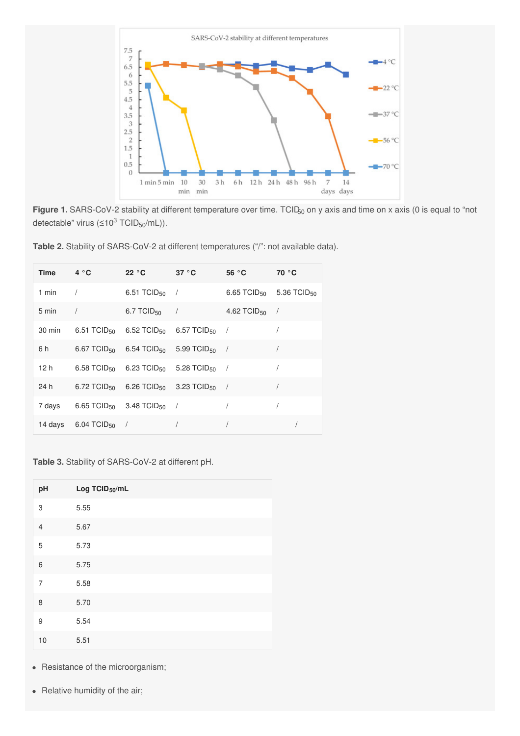

**Figure 1.** SARS-CoV-2 stability at different temperature over time. TCID<sub>50</sub> on y axis and time on x axis (0 is equal to "not detectable" virus (≤10<sup>3</sup> TCID<sub>50</sub>/mL)).

| Time $4^{\circ}$ C |                                                          | 22 °C                                                                     | 37 °C | 56 °C                     | 70 °C                                           |
|--------------------|----------------------------------------------------------|---------------------------------------------------------------------------|-------|---------------------------|-------------------------------------------------|
| 1 min              | $\sqrt{1}$                                               | 6.51 TCID <sub>50</sub> /                                                 |       |                           | 6.65 TCID <sub>50</sub> 5.36 TCID <sub>50</sub> |
| 5 min              | $\sqrt{ }$                                               | 6.7 TCID <sub>50</sub> /                                                  |       | 4.62 TCID <sub>50</sub> / |                                                 |
| 30 min             |                                                          | 6.51 TCID <sub>50</sub> 6.52 TCID <sub>50</sub> 6.57 TCID <sub>50</sub> / |       |                           |                                                 |
| 6 h                |                                                          | 6.67 TCID <sub>50</sub> 6.54 TCID <sub>50</sub> 5.99 TCID <sub>50</sub> / |       |                           | $\sqrt{2}$                                      |
| 12 h               |                                                          | 6.58 TCID <sub>50</sub> 6.23 TCID <sub>50</sub> 5.28 TCID <sub>50</sub> / |       |                           |                                                 |
| 24 h               |                                                          | 6.72 TCID <sub>50</sub> 6.26 TCID <sub>50</sub> 3.23 TCID <sub>50</sub> / |       |                           |                                                 |
|                    | 7 days 6.65 TCID <sub>50</sub> 3.48 TCID <sub>50</sub> / |                                                                           |       |                           |                                                 |
|                    | 14 days 6.04 TCID <sub>50</sub> /                        |                                                                           |       |                           |                                                 |

**Table 2.** Stability of SARS-CoV-2 at different temperatures ("/": not available data).

**Table 3.** Stability of SARS-CoV-2 at different pH.

| pH             | Log TCID <sub>50</sub> /mL |
|----------------|----------------------------|
| 3              | 5.55                       |
| $\overline{4}$ | 5.67                       |
| 5              | 5.73                       |
| 6              | 5.75                       |
| $\overline{7}$ | 5.58                       |
| 8              | 5.70                       |
| 9              | 5.54                       |
| 10             | 5.51                       |

• Resistance of the microorganism;

• Relative humidity of the air;